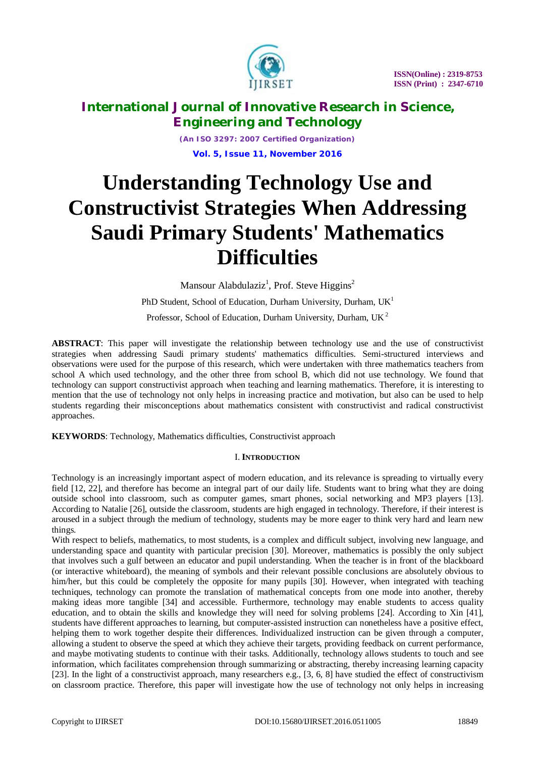

*(An ISO 3297: 2007 Certified Organization)* **Vol. 5, Issue 11, November 2016**

# **Understanding Technology Use and Constructivist Strategies When Addressing Saudi Primary Students' Mathematics Difficulties**

Mansour Alabdulaziz<sup>1</sup>, Prof. Steve Higgins<sup>2</sup>

PhD Student, School of Education, Durham University, Durham,  $UK<sup>1</sup>$ 

Professor, School of Education, Durham University, Durham,  $UK<sup>2</sup>$ 

**ABSTRACT**: This paper will investigate the relationship between technology use and the use of constructivist strategies when addressing Saudi primary students' mathematics difficulties. Semi-structured interviews and observations were used for the purpose of this research, which were undertaken with three mathematics teachers from school A which used technology, and the other three from school B, which did not use technology. We found that technology can support constructivist approach when teaching and learning mathematics. Therefore, it is interesting to mention that the use of technology not only helps in increasing practice and motivation, but also can be used to help students regarding their misconceptions about mathematics consistent with constructivist and radical constructivist approaches.

**KEYWORDS**: Technology, Mathematics difficulties, Constructivist approach

### I. **INTRODUCTION**

Technology is an increasingly important aspect of modern education, and its relevance is spreading to virtually every field [12, 22], and therefore has become an integral part of our daily life. Students want to bring what they are doing outside school into classroom, such as computer games, smart phones, social networking and MP3 players [13]. According to Natalie [26], outside the classroom, students are high engaged in technology. Therefore, if their interest is aroused in a subject through the medium of technology, students may be more eager to think very hard and learn new things.

With respect to beliefs, mathematics, to most students, is a complex and difficult subject, involving new language, and understanding space and quantity with particular precision [30]. Moreover, mathematics is possibly the only subject that involves such a gulf between an educator and pupil understanding. When the teacher is in front of the blackboard (or interactive whiteboard), the meaning of symbols and their relevant possible conclusions are absolutely obvious to him/her, but this could be completely the opposite for many pupils [30]. However, when integrated with teaching techniques, technology can promote the translation of mathematical concepts from one mode into another, thereby making ideas more tangible [34] and accessible. Furthermore, technology may enable students to access quality education, and to obtain the skills and knowledge they will need for solving problems [24]. According to Xin [41], students have different approaches to learning, but computer-assisted instruction can nonetheless have a positive effect, helping them to work together despite their differences. Individualized instruction can be given through a computer, allowing a student to observe the speed at which they achieve their targets, providing feedback on current performance, and maybe motivating students to continue with their tasks. Additionally, technology allows students to touch and see information, which facilitates comprehension through summarizing or abstracting, thereby increasing learning capacity [23]. In the light of a constructivist approach, many researchers e.g., [3, 6, 8] have studied the effect of constructivism on classroom practice. Therefore, this paper will investigate how the use of technology not only helps in increasing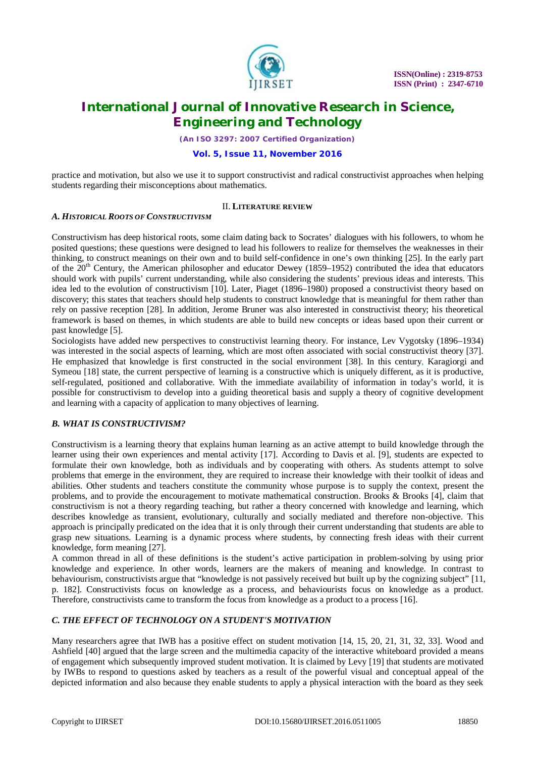

*(An ISO 3297: 2007 Certified Organization)*

### **Vol. 5, Issue 11, November 2016**

practice and motivation, but also we use it to support constructivist and radical constructivist approaches when helping students regarding their misconceptions about mathematics.

### II. **LITERATURE REVIEW**

### *A. HISTORICAL ROOTS OF CONSTRUCTIVISM*

Constructivism has deep historical roots, some claim dating back to Socrates' dialogues with his followers, to whom he posited questions; these questions were designed to lead his followers to realize for themselves the weaknesses in their thinking, to construct meanings on their own and to build self-confidence in one's own thinking [25]. In the early part of the  $20<sup>th</sup>$  Century, the American philosopher and educator Dewey (1859–1952) contributed the idea that educators should work with pupils' current understanding, while also considering the students' previous ideas and interests. This idea led to the evolution of constructivism [10]. Later, Piaget (1896–1980) proposed a constructivist theory based on discovery; this states that teachers should help students to construct knowledge that is meaningful for them rather than rely on passive reception [28]. In addition, Jerome Bruner was also interested in constructivist theory; his theoretical framework is based on themes, in which students are able to build new concepts or ideas based upon their current or past knowledge [5].

Sociologists have added new perspectives to constructivist learning theory. For instance, Lev Vygotsky (1896–1934) was interested in the social aspects of learning, which are most often associated with social constructivist theory [37]. He emphasized that knowledge is first constructed in the social environment [38]. In this century, Karagiorgi and Symeou [18] state, the current perspective of learning is a constructive which is uniquely different, as it is productive, self-regulated, positioned and collaborative. With the immediate availability of information in today's world, it is possible for constructivism to develop into a guiding theoretical basis and supply a theory of cognitive development and learning with a capacity of application to many objectives of learning.

### *B. WHAT IS CONSTRUCTIVISM?*

Constructivism is a learning theory that explains human learning as an active attempt to build knowledge through the learner using their own experiences and mental activity [17]. According to Davis et al. [9], students are expected to formulate their own knowledge, both as individuals and by cooperating with others. As students attempt to solve problems that emerge in the environment, they are required to increase their knowledge with their toolkit of ideas and abilities. Other students and teachers constitute the community whose purpose is to supply the context, present the problems, and to provide the encouragement to motivate mathematical construction. Brooks & Brooks [4], claim that constructivism is not a theory regarding teaching, but rather a theory concerned with knowledge and learning, which describes knowledge as transient, evolutionary, culturally and socially mediated and therefore non-objective. This approach is principally predicated on the idea that it is only through their current understanding that students are able to grasp new situations. Learning is a dynamic process where students, by connecting fresh ideas with their current knowledge, form meaning [27].

A common thread in all of these definitions is the student's active participation in problem-solving by using prior knowledge and experience. In other words, learners are the makers of meaning and knowledge. In contrast to behaviourism, constructivists argue that "knowledge is not passively received but built up by the cognizing subject" [11, p. 182]. Constructivists focus on knowledge as a process, and behaviourists focus on knowledge as a product. Therefore, constructivists came to transform the focus from knowledge as a product to a process [16].

### *C. THE EFFECT OF TECHNOLOGY ON A STUDENT'S MOTIVATION*

Many researchers agree that IWB has a positive effect on student motivation [14, 15, 20, 21, 31, 32, 33]. Wood and Ashfield [40] argued that the large screen and the multimedia capacity of the interactive whiteboard provided a means of engagement which subsequently improved student motivation. It is claimed by Levy [19] that students are motivated by IWBs to respond to questions asked by teachers as a result of the powerful visual and conceptual appeal of the depicted information and also because they enable students to apply a physical interaction with the board as they seek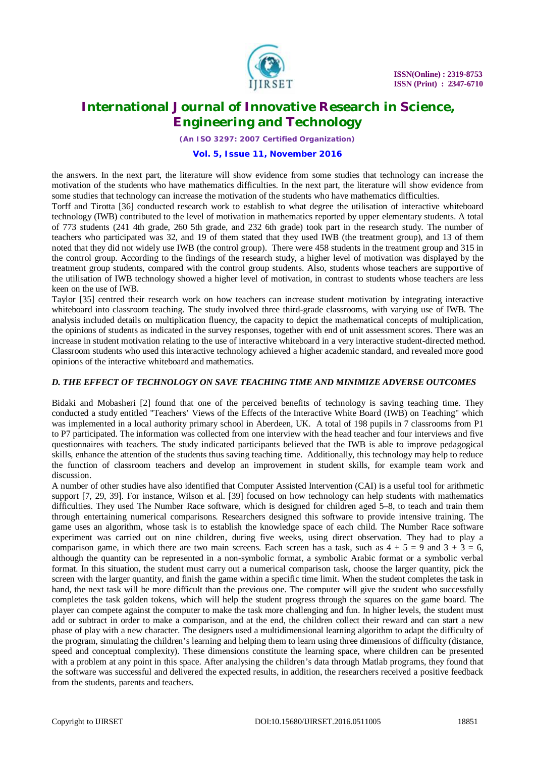

*(An ISO 3297: 2007 Certified Organization)*

#### **Vol. 5, Issue 11, November 2016**

the answers. In the next part, the literature will show evidence from some studies that technology can increase the motivation of the students who have mathematics difficulties. In the next part, the literature will show evidence from some studies that technology can increase the motivation of the students who have mathematics difficulties.

Torff and Tirotta [36] conducted research work to establish to what degree the utilisation of interactive whiteboard technology (IWB) contributed to the level of motivation in mathematics reported by upper elementary students. A total of 773 students (241 4th grade, 260 5th grade, and 232 6th grade) took part in the research study. The number of teachers who participated was 32, and 19 of them stated that they used IWB (the treatment group), and 13 of them noted that they did not widely use IWB (the control group). There were 458 students in the treatment group and 315 in the control group. According to the findings of the research study, a higher level of motivation was displayed by the treatment group students, compared with the control group students. Also, students whose teachers are supportive of the utilisation of IWB technology showed a higher level of motivation, in contrast to students whose teachers are less keen on the use of IWB.

Taylor [35] centred their research work on how teachers can increase student motivation by integrating interactive whiteboard into classroom teaching. The study involved three third-grade classrooms, with varying use of IWB. The analysis included details on multiplication fluency, the capacity to depict the mathematical concepts of multiplication, the opinions of students as indicated in the survey responses, together with end of unit assessment scores. There was an increase in student motivation relating to the use of interactive whiteboard in a very interactive student-directed method. Classroom students who used this interactive technology achieved a higher academic standard, and revealed more good opinions of the interactive whiteboard and mathematics.

### *D. THE EFFECT OF TECHNOLOGY ON SAVE TEACHING TIME AND MINIMIZE ADVERSE OUTCOMES*

Bidaki and Mobasheri [2] found that one of the perceived benefits of technology is saving teaching time. They conducted a study entitled "Teachers' Views of the Effects of the Interactive White Board (IWB) on Teaching" which was implemented in a local authority primary school in Aberdeen, UK. A total of 198 pupils in 7 classrooms from P1 to P7 participated. The information was collected from one interview with the head teacher and four interviews and five questionnaires with teachers. The study indicated participants believed that the IWB is able to improve pedagogical skills, enhance the attention of the students thus saving teaching time. Additionally, this technology may help to reduce the function of classroom teachers and develop an improvement in student skills, for example team work and discussion.

A number of other studies have also identified that Computer Assisted Intervention (CAI) is a useful tool for arithmetic support [7, 29, 39]. For instance, Wilson et al. [39] focused on how technology can help students with mathematics difficulties. They used The Number Race software, which is designed for children aged 5–8, to teach and train them through entertaining numerical comparisons. Researchers designed this software to provide intensive training. The game uses an algorithm, whose task is to establish the knowledge space of each child. The Number Race software experiment was carried out on nine children, during five weeks, using direct observation. They had to play a comparison game, in which there are two main screens. Each screen has a task, such as  $4 + 5 = 9$  and  $3 + 3 = 6$ , although the quantity can be represented in a non-symbolic format, a symbolic Arabic format or a symbolic verbal format. In this situation, the student must carry out a numerical comparison task, choose the larger quantity, pick the screen with the larger quantity, and finish the game within a specific time limit. When the student completes the task in hand, the next task will be more difficult than the previous one. The computer will give the student who successfully completes the task golden tokens, which will help the student progress through the squares on the game board. The player can compete against the computer to make the task more challenging and fun. In higher levels, the student must add or subtract in order to make a comparison, and at the end, the children collect their reward and can start a new phase of play with a new character. The designers used a multidimensional learning algorithm to adapt the difficulty of the program, simulating the children's learning and helping them to learn using three dimensions of difficulty (distance, speed and conceptual complexity). These dimensions constitute the learning space, where children can be presented with a problem at any point in this space. After analysing the children's data through Matlab programs, they found that the software was successful and delivered the expected results, in addition, the researchers received a positive feedback from the students, parents and teachers.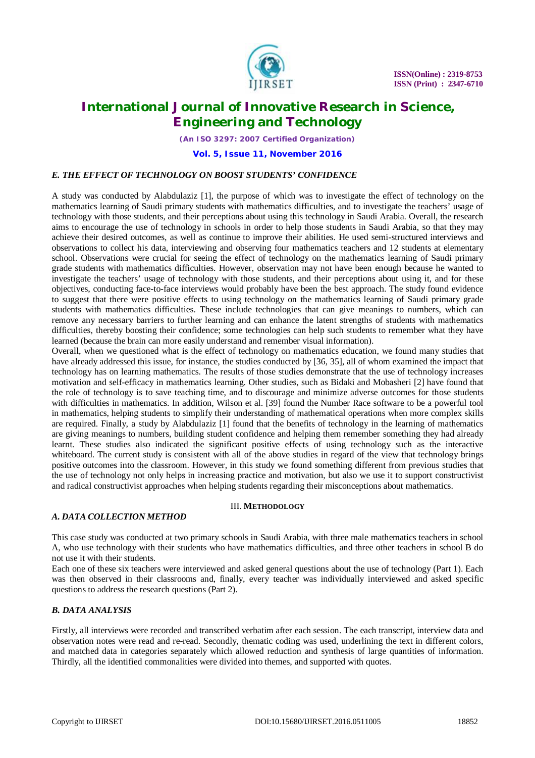

*(An ISO 3297: 2007 Certified Organization)*

### **Vol. 5, Issue 11, November 2016**

### *E. THE EFFECT OF TECHNOLOGY ON BOOST STUDENTS' CONFIDENCE*

A study was conducted by Alabdulaziz [1], the purpose of which was to investigate the effect of technology on the mathematics learning of Saudi primary students with mathematics difficulties, and to investigate the teachers' usage of technology with those students, and their perceptions about using this technology in Saudi Arabia. Overall, the research aims to encourage the use of technology in schools in order to help those students in Saudi Arabia, so that they may achieve their desired outcomes, as well as continue to improve their abilities. He used semi-structured interviews and observations to collect his data, interviewing and observing four mathematics teachers and 12 students at elementary school. Observations were crucial for seeing the effect of technology on the mathematics learning of Saudi primary grade students with mathematics difficulties. However, observation may not have been enough because he wanted to investigate the teachers' usage of technology with those students, and their perceptions about using it, and for these objectives, conducting face-to-face interviews would probably have been the best approach. The study found evidence to suggest that there were positive effects to using technology on the mathematics learning of Saudi primary grade students with mathematics difficulties. These include technologies that can give meanings to numbers, which can remove any necessary barriers to further learning and can enhance the latent strengths of students with mathematics difficulties, thereby boosting their confidence; some technologies can help such students to remember what they have learned (because the brain can more easily understand and remember visual information).

Overall, when we questioned what is the effect of technology on mathematics education, we found many studies that have already addressed this issue, for instance, the studies conducted by [36, 35], all of whom examined the impact that technology has on learning mathematics. The results of those studies demonstrate that the use of technology increases motivation and self-efficacy in mathematics learning. Other studies, such as Bidaki and Mobasheri [2] have found that the role of technology is to save teaching time, and to discourage and minimize adverse outcomes for those students with difficulties in mathematics. In addition, Wilson et al. [39] found the Number Race software to be a powerful tool in mathematics, helping students to simplify their understanding of mathematical operations when more complex skills are required. Finally, a study by Alabdulaziz [1] found that the benefits of technology in the learning of mathematics are giving meanings to numbers, building student confidence and helping them remember something they had already learnt. These studies also indicated the significant positive effects of using technology such as the interactive whiteboard. The current study is consistent with all of the above studies in regard of the view that technology brings positive outcomes into the classroom. However, in this study we found something different from previous studies that the use of technology not only helps in increasing practice and motivation, but also we use it to support constructivist and radical constructivist approaches when helping students regarding their misconceptions about mathematics.

### III. **METHODOLOGY**

### *A. DATA COLLECTION METHOD*

This case study was conducted at two primary schools in Saudi Arabia, with three male mathematics teachers in school A, who use technology with their students who have mathematics difficulties, and three other teachers in school B do not use it with their students.

Each one of these six teachers were interviewed and asked general questions about the use of technology (Part 1). Each was then observed in their classrooms and, finally, every teacher was individually interviewed and asked specific questions to address the research questions (Part 2).

### *B. DATA ANALYSIS*

Firstly, all interviews were recorded and transcribed verbatim after each session. The each transcript, interview data and observation notes were read and re-read. Secondly, thematic coding was used, underlining the text in different colors, and matched data in categories separately which allowed reduction and synthesis of large quantities of information. Thirdly, all the identified commonalities were divided into themes, and supported with quotes.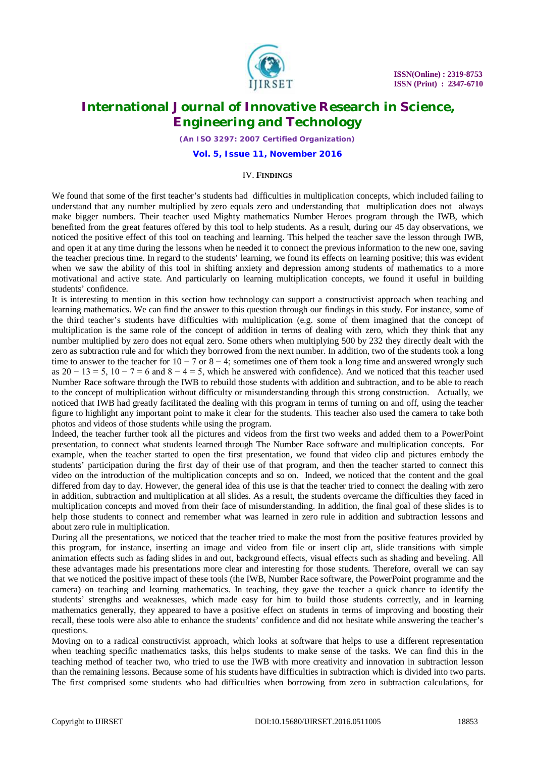

*(An ISO 3297: 2007 Certified Organization)*

**Vol. 5, Issue 11, November 2016**

#### IV. **FINDINGS**

We found that some of the first teacher's students had difficulties in multiplication concepts, which included failing to understand that any number multiplied by zero equals zero and understanding that multiplication does not always make bigger numbers. Their teacher used Mighty mathematics Number Heroes program through the IWB, which benefited from the great features offered by this tool to help students. As a result, during our 45 day observations, we noticed the positive effect of this tool on teaching and learning. This helped the teacher save the lesson through IWB, and open it at any time during the lessons when he needed it to connect the previous information to the new one, saving the teacher precious time. In regard to the students' learning, we found its effects on learning positive; this was evident when we saw the ability of this tool in shifting anxiety and depression among students of mathematics to a more motivational and active state. And particularly on learning multiplication concepts, we found it useful in building students' confidence.

It is interesting to mention in this section how technology can support a constructivist approach when teaching and learning mathematics. We can find the answer to this question through our findings in this study. For instance, some of the third teacher's students have difficulties with multiplication (e.g. some of them imagined that the concept of multiplication is the same role of the concept of addition in terms of dealing with zero, which they think that any number multiplied by zero does not equal zero. Some others when multiplying 500 by 232 they directly dealt with the zero as subtraction rule and for which they borrowed from the next number. In addition, two of the students took a long time to answer to the teacher for  $10 - 7$  or  $8 - 4$ ; sometimes one of them took a long time and answered wrongly such as  $20 - 13 = 5$ ,  $10 - 7 = 6$  and  $8 - 4 = 5$ , which he answered with confidence). And we noticed that this teacher used Number Race software through the IWB to rebuild those students with addition and subtraction, and to be able to reach to the concept of multiplication without difficulty or misunderstanding through this strong construction. Actually, we noticed that IWB had greatly facilitated the dealing with this program in terms of turning on and off, using the teacher figure to highlight any important point to make it clear for the students. This teacher also used the camera to take both photos and videos of those students while using the program.

Indeed, the teacher further took all the pictures and videos from the first two weeks and added them to a PowerPoint presentation, to connect what students learned through The Number Race software and multiplication concepts. For example, when the teacher started to open the first presentation, we found that video clip and pictures embody the students' participation during the first day of their use of that program, and then the teacher started to connect this video on the introduction of the multiplication concepts and so on. Indeed, we noticed that the content and the goal differed from day to day. However, the general idea of this use is that the teacher tried to connect the dealing with zero in addition, subtraction and multiplication at all slides. As a result, the students overcame the difficulties they faced in multiplication concepts and moved from their face of misunderstanding. In addition, the final goal of these slides is to help those students to connect and remember what was learned in zero rule in addition and subtraction lessons and about zero rule in multiplication.

During all the presentations, we noticed that the teacher tried to make the most from the positive features provided by this program, for instance, inserting an image and video from file or insert clip art, slide transitions with simple animation effects such as fading slides in and out, background effects, visual effects such as shading and beveling. All these advantages made his presentations more clear and interesting for those students. Therefore, overall we can say that we noticed the positive impact of these tools (the IWB, Number Race software, the PowerPoint programme and the camera) on teaching and learning mathematics. In teaching, they gave the teacher a quick chance to identify the students' strengths and weaknesses, which made easy for him to build those students correctly, and in learning mathematics generally, they appeared to have a positive effect on students in terms of improving and boosting their recall, these tools were also able to enhance the students' confidence and did not hesitate while answering the teacher's questions.

Moving on to a radical constructivist approach, which looks at software that helps to use a different representation when teaching specific mathematics tasks, this helps students to make sense of the tasks. We can find this in the teaching method of teacher two, who tried to use the IWB with more creativity and innovation in subtraction lesson than the remaining lessons. Because some of his students have difficulties in subtraction which is divided into two parts. The first comprised some students who had difficulties when borrowing from zero in subtraction calculations, for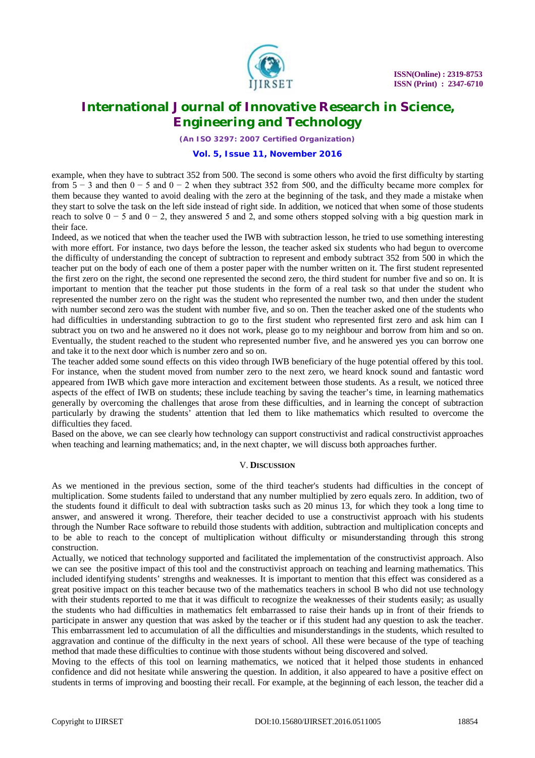

*(An ISO 3297: 2007 Certified Organization)*

#### **Vol. 5, Issue 11, November 2016**

example, when they have to subtract 352 from 500. The second is some others who avoid the first difficulty by starting from  $5 - 3$  and then  $0 - 5$  and  $0 - 2$  when they subtract 352 from 500, and the difficulty became more complex for them because they wanted to avoid dealing with the zero at the beginning of the task, and they made a mistake when they start to solve the task on the left side instead of right side. In addition, we noticed that when some of those students reach to solve  $0 - 5$  and  $0 - 2$ , they answered 5 and 2, and some others stopped solving with a big question mark in their face.

Indeed, as we noticed that when the teacher used the IWB with subtraction lesson, he tried to use something interesting with more effort. For instance, two days before the lesson, the teacher asked six students who had begun to overcome the difficulty of understanding the concept of subtraction to represent and embody subtract 352 from 500 in which the teacher put on the body of each one of them a poster paper with the number written on it. The first student represented the first zero on the right, the second one represented the second zero, the third student for number five and so on. It is important to mention that the teacher put those students in the form of a real task so that under the student who represented the number zero on the right was the student who represented the number two, and then under the student with number second zero was the student with number five, and so on. Then the teacher asked one of the students who had difficulties in understanding subtraction to go to the first student who represented first zero and ask him can I subtract you on two and he answered no it does not work, please go to my neighbour and borrow from him and so on. Eventually, the student reached to the student who represented number five, and he answered yes you can borrow one and take it to the next door which is number zero and so on.

The teacher added some sound effects on this video through IWB beneficiary of the huge potential offered by this tool. For instance, when the student moved from number zero to the next zero, we heard knock sound and fantastic word appeared from IWB which gave more interaction and excitement between those students. As a result, we noticed three aspects of the effect of IWB on students; these include teaching by saving the teacher's time, in learning mathematics generally by overcoming the challenges that arose from these difficulties, and in learning the concept of subtraction particularly by drawing the students' attention that led them to like mathematics which resulted to overcome the difficulties they faced.

Based on the above, we can see clearly how technology can support constructivist and radical constructivist approaches when teaching and learning mathematics; and, in the next chapter, we will discuss both approaches further.

#### V. **DISCUSSION**

As we mentioned in the previous section, some of the third teacher's students had difficulties in the concept of multiplication. Some students failed to understand that any number multiplied by zero equals zero. In addition, two of the students found it difficult to deal with subtraction tasks such as 20 minus 13, for which they took a long time to answer, and answered it wrong. Therefore, their teacher decided to use a constructivist approach with his students through the Number Race software to rebuild those students with addition, subtraction and multiplication concepts and to be able to reach to the concept of multiplication without difficulty or misunderstanding through this strong construction.

Actually, we noticed that technology supported and facilitated the implementation of the constructivist approach. Also we can see the positive impact of this tool and the constructivist approach on teaching and learning mathematics. This included identifying students' strengths and weaknesses. It is important to mention that this effect was considered as a great positive impact on this teacher because two of the mathematics teachers in school B who did not use technology with their students reported to me that it was difficult to recognize the weaknesses of their students easily; as usually the students who had difficulties in mathematics felt embarrassed to raise their hands up in front of their friends to participate in answer any question that was asked by the teacher or if this student had any question to ask the teacher. This embarrassment led to accumulation of all the difficulties and misunderstandings in the students, which resulted to aggravation and continue of the difficulty in the next years of school. All these were because of the type of teaching method that made these difficulties to continue with those students without being discovered and solved.

Moving to the effects of this tool on learning mathematics, we noticed that it helped those students in enhanced confidence and did not hesitate while answering the question. In addition, it also appeared to have a positive effect on students in terms of improving and boosting their recall. For example, at the beginning of each lesson, the teacher did a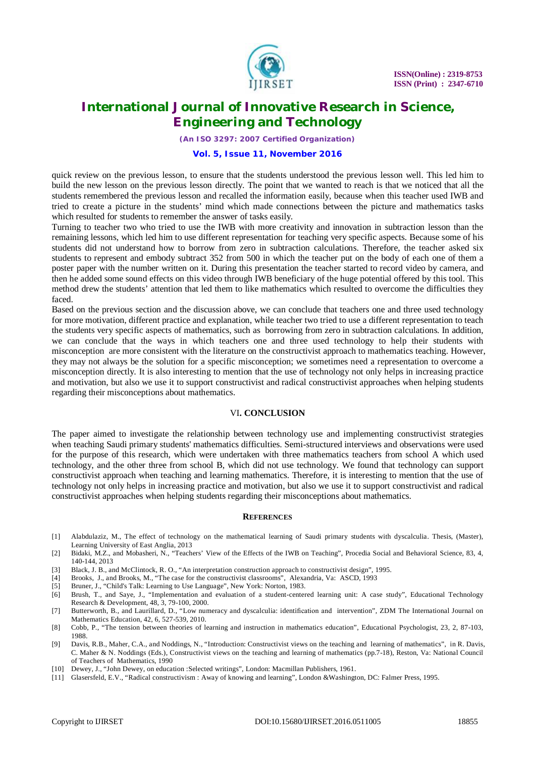

*(An ISO 3297: 2007 Certified Organization)*

#### **Vol. 5, Issue 11, November 2016**

quick review on the previous lesson, to ensure that the students understood the previous lesson well. This led him to build the new lesson on the previous lesson directly. The point that we wanted to reach is that we noticed that all the students remembered the previous lesson and recalled the information easily, because when this teacher used IWB and tried to create a picture in the students' mind which made connections between the picture and mathematics tasks which resulted for students to remember the answer of tasks easily.

Turning to teacher two who tried to use the IWB with more creativity and innovation in subtraction lesson than the remaining lessons, which led him to use different representation for teaching very specific aspects. Because some of his students did not understand how to borrow from zero in subtraction calculations. Therefore, the teacher asked six students to represent and embody subtract 352 from 500 in which the teacher put on the body of each one of them a poster paper with the number written on it. During this presentation the teacher started to record video by camera, and then he added some sound effects on this video through IWB beneficiary of the huge potential offered by this tool. This method drew the students' attention that led them to like mathematics which resulted to overcome the difficulties they faced.

Based on the previous section and the discussion above, we can conclude that teachers one and three used technology for more motivation, different practice and explanation, while teacher two tried to use a different representation to teach the students very specific aspects of mathematics, such as borrowing from zero in subtraction calculations. In addition, we can conclude that the ways in which teachers one and three used technology to help their students with misconception are more consistent with the literature on the constructivist approach to mathematics teaching. However, they may not always be the solution for a specific misconception; we sometimes need a representation to overcome a misconception directly. It is also interesting to mention that the use of technology not only helps in increasing practice and motivation, but also we use it to support constructivist and radical constructivist approaches when helping students regarding their misconceptions about mathematics.

#### VI**. CONCLUSION**

The paper aimed to investigate the relationship between technology use and implementing constructivist strategies when teaching Saudi primary students' mathematics difficulties. Semi-structured interviews and observations were used for the purpose of this research, which were undertaken with three mathematics teachers from school A which used technology, and the other three from school B, which did not use technology. We found that technology can support constructivist approach when teaching and learning mathematics. Therefore, it is interesting to mention that the use of technology not only helps in increasing practice and motivation, but also we use it to support constructivist and radical constructivist approaches when helping students regarding their misconceptions about mathematics.

#### **REFERENCES**

- [1] Alabdulaziz, M., The effect of technology on the mathematical learning of Saudi primary students with dyscalculia. Thesis, (Master), Learning University of East Anglia, 2013
- [2] Bidaki, M.Z., and Mobasheri, N., "Teachers' View of the Effects of the IWB on Teaching", Procedia Social and Behavioral Science, 83, 4, 140-144, 2013
- [3] Black, J. B., and McClintock, R. O., "An interpretation construction approach to constructivist design", 1995.
- [4] Brooks, J., and Brooks, M., "The case for the constructivist classrooms", Alexandria, Va: ASCD, 1993
- [5] Bruner, J., "Child's Talk: Learning to Use Language", New York: Norton, 1983.<br>[6] Brush, T., and Saye, J., "Implementation and evaluation of a student-center
- [6] Brush, T., and Saye, J., "Implementation and evaluation of a student-centered learning unit: A case study", Educational Technology Research & Development, 48, 3, 79-100, 2000.
- [7] Butterworth, B., and Laurillard, D., "Low numeracy and dyscalculia: identification and intervention", ZDM The International Journal on Mathematics Education, 42, 6, 527-539, 2010.
- [8] Cobb, P., "The tension between theories of learning and instruction in mathematics education", Educational Psychologist, 23, 2, 87-103, 1988.
- [9] Davis, R.B., Maher, C.A., and Noddings, N., "Introduction: Constructivist views on the teaching and learning of mathematics", in R. Davis, C. Maher & N. Noddings (Eds.), Constructivist views on the teaching and learning of mathematics (pp.7-18), Reston, Va: National Council of Teachers of Mathematics, 1990
- [10] Dewey, J., "John Dewey, on education :Selected writings", London: Macmillan Publishers, 1961.
- [11] Glasersfeld, E.V., "Radical constructivism : Away of knowing and learning", London &Washington, DC: Falmer Press, 1995.